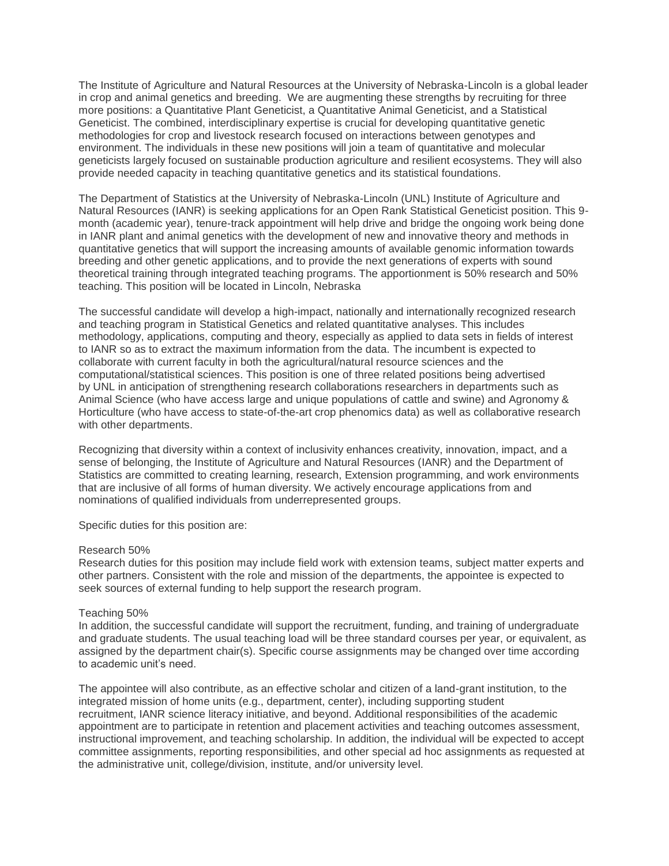The Institute of Agriculture and Natural Resources at the University of Nebraska-Lincoln is a global leader in crop and animal genetics and breeding. We are augmenting these strengths by recruiting for three more positions: a Quantitative Plant Geneticist, a Quantitative Animal Geneticist, and a Statistical Geneticist. The combined, interdisciplinary expertise is crucial for developing quantitative genetic methodologies for crop and livestock research focused on interactions between genotypes and environment. The individuals in these new positions will join a team of quantitative and molecular geneticists largely focused on sustainable production agriculture and resilient ecosystems. They will also provide needed capacity in teaching quantitative genetics and its statistical foundations.

The Department of Statistics at the University of Nebraska-Lincoln (UNL) Institute of Agriculture and Natural Resources (IANR) is seeking applications for an Open Rank Statistical Geneticist position. This 9 month (academic year), tenure-track appointment will help drive and bridge the ongoing work being done in IANR plant and animal genetics with the development of new and innovative theory and methods in quantitative genetics that will support the increasing amounts of available genomic information towards breeding and other genetic applications, and to provide the next generations of experts with sound theoretical training through integrated teaching programs. The apportionment is 50% research and 50% teaching. This position will be located in Lincoln, Nebraska

The successful candidate will develop a high-impact, nationally and internationally recognized research and teaching program in Statistical Genetics and related quantitative analyses. This includes methodology, applications, computing and theory, especially as applied to data sets in fields of interest to IANR so as to extract the maximum information from the data. The incumbent is expected to collaborate with current faculty in both the agricultural/natural resource sciences and the computational/statistical sciences. This position is one of three related positions being advertised by UNL in anticipation of strengthening research collaborations researchers in departments such as Animal Science (who have access large and unique populations of cattle and swine) and Agronomy & Horticulture (who have access to state-of-the-art crop phenomics data) as well as collaborative research with other departments.

Recognizing that diversity within a context of inclusivity enhances creativity, innovation, impact, and a sense of belonging, the Institute of Agriculture and Natural Resources (IANR) and the Department of Statistics are committed to creating learning, research, Extension programming, and work environments that are inclusive of all forms of human diversity. We actively encourage applications from and nominations of qualified individuals from underrepresented groups.

Specific duties for this position are:

## Research 50%

Research duties for this position may include field work with extension teams, subject matter experts and other partners. Consistent with the role and mission of the departments, the appointee is expected to seek sources of external funding to help support the research program.

## Teaching 50%

In addition, the successful candidate will support the recruitment, funding, and training of undergraduate and graduate students. The usual teaching load will be three standard courses per year, or equivalent, as assigned by the department chair(s). Specific course assignments may be changed over time according to academic unit's need.

The appointee will also contribute, as an effective scholar and citizen of a land-grant institution, to the integrated mission of home units (e.g., department, center), including supporting student recruitment, IANR science literacy initiative, and beyond. Additional responsibilities of the academic appointment are to participate in retention and placement activities and teaching outcomes assessment, instructional improvement, and teaching scholarship. In addition, the individual will be expected to accept committee assignments, reporting responsibilities, and other special ad hoc assignments as requested at the administrative unit, college/division, institute, and/or university level.